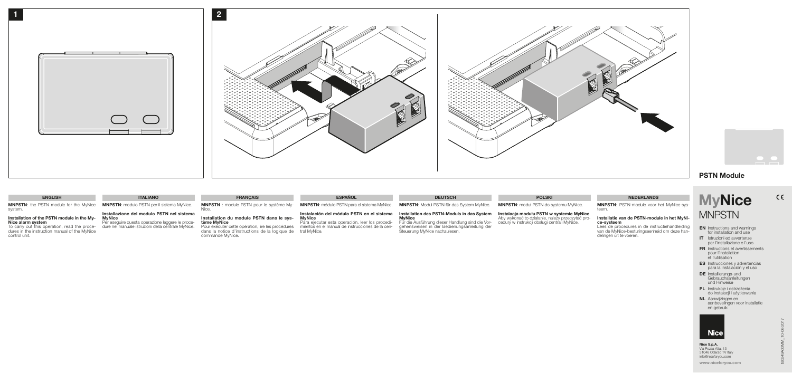- 
- **EN** Instructions and warnings for installation and use
- IT Istruzioni ed avvertenze per l'installazione e l'uso
- FR Instructions et avertissements pour l'installation et l'utilisation
- ES Instrucciones y advertencias para la instalación y el uso
- DE Installierungs-und Gebrauchsanleitungen und Hinweise
- PL Instrukcje i ostrzeżenia do instalacji i użytkowania
- NL Aanwijzingen en aanbevelingen voor installatie en gebruik



www.niceforyou.com

 $C \in$ 

## PSTN Module

# **MyNice MNPSTN**

Nice S.p.A. Via Pezza Alta, 13 31046 Oderzo TV Italy info@niceforyou.com



![](_page_0_Figure_1.jpeg)

![](_page_0_Picture_2.jpeg)

#### Instalación del módulo PSTN en el sistema **MyNice**

MNPSTN: the PSTN module for the MyNice system.

> Para ejecutar esta operación, leer los procedimientos en el manual de instrucciones de la central MyNice.

## Installation of the PSTN module in the My- Nice alarm system

## Installation des PSTN-Moduls in das System **MyNice**

To carry out this operation, read the procedures in the instruction manual of the MyNice control unit.

#### ENGLISH ITALIANO ITALIANO FRANÇAIS ESPAÑOL ESPAÑOL DEUTSCH DEUTSCH POLSKI POLSKI NEDERLANDS

MNPSTN: modulo PSTN per il sistema MyNice.

Installazione del modulo PSTN nel sistema

**MyNice** 

Per eseguire questa operazione leggere le proce-dure nel manuale istruzioni della centrale MyNice.

MNPSTN : module PSTN pour le système My-Nice.

Installation du module PSTN dans le sys- tème MyNice

Pour exécuter cette opération, lire les procédures dans la notice d'instructions de la logique de commande MyNice.

MNPSTN: módulo PSTN para el sistema MyNice.

MNPSTN: Modul PSTN für das System MyNice.

Für die Ausführung dieser Handlung sind die Vorgehensweisen in der Bedienungsanleitung der Steuerung MyNice nachzulesen.

MNPSTN: moduł PSTN do systemu MyNice.

**Instalacja modułu PSTN w systemie MyNice**<br>Aby wykonać to działanie, należy przeczytać pro-<br>cedury w instrukcji obsługi centrali MyNice.

MNPSTN: PSTN-module voor het MyNice-systeem.

## Installatie van de PSTN-module in het MyNi- ce-systeem

Lees de procedures in de instructiehandleiding van de MyNice-besturingseenheid om deze han- delingen uit te voeren.